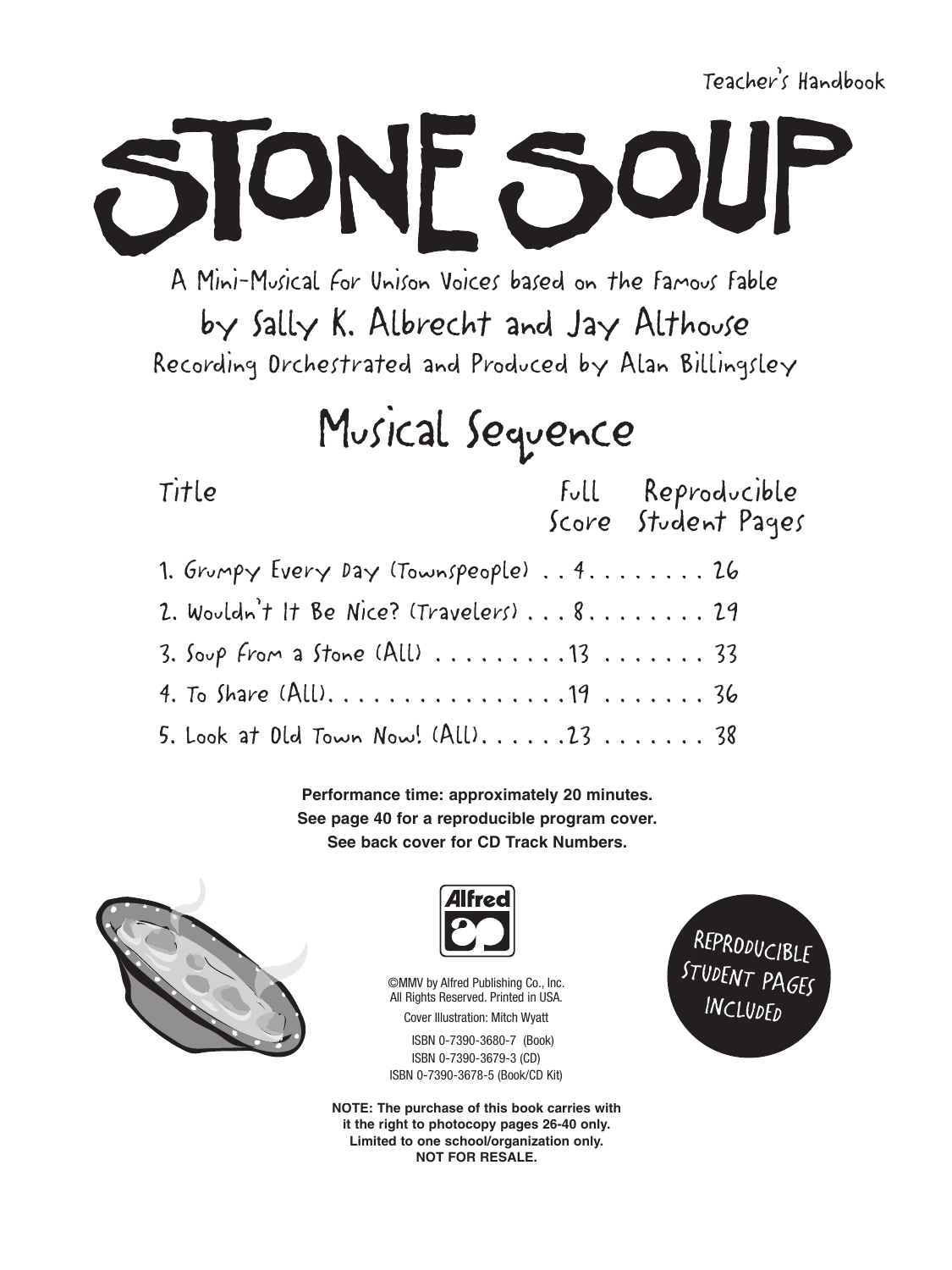Teacher's Handbook

A Mini-Musical For Unison Voices based on the Famous Fable by Sally K. Albrecht and Jay Althouse Recording Drchestrated and Produced by Alan Billingsley

ONF 50

## Musical Sequence

Title

Full Reproducible Score Student Pages

| 1. Grumpy Every Day (Townspeople) 4.  26                                |  |
|-------------------------------------------------------------------------|--|
| 2. Wouldn't It Be Nice? (Travelers)  8.  29                             |  |
| $3.$ Soup From a Stone (All) $\ldots \ldots \ldots 13 \ldots \ldots 33$ |  |
|                                                                         |  |
| 5. Look at Old Town Now! $(All)$ 2338                                   |  |

Performance time: approximately 20 minutes. See page 40 for a reproducible program cover. See back cover for CD Track Numbers.





**©MMV** by Alfred Publishing Co., Inc. All Rights Reserved. Printed in USA. **Cover Illustration: Mitch Wyatt** 

ISBN 0-7390-3680-7 (Book) ISBN 0-7390-3679-3 (CD) ISBN 0-7390-3678-5 (Book/CD Kit)

NOTE: The purchase of this book carries with it the right to photocopy pages 26-40 only. Limited to one school/organization only. **NOT FOR RESALE.** 

REPRODUCIBLE STUDENT PAGES INCLUDED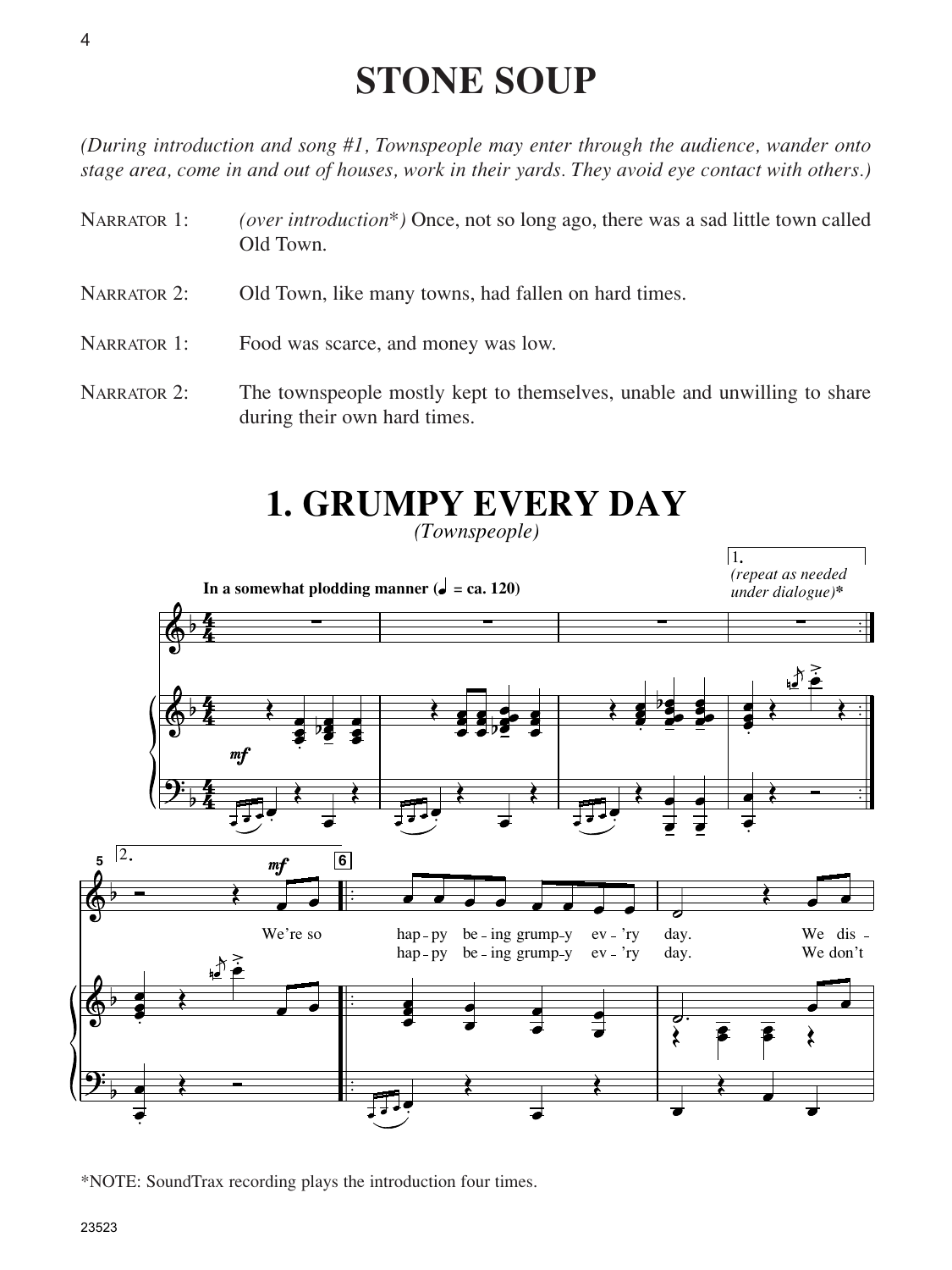## **STONE SOUP**

*(During introduction and song #1, Townspeople may enter through the audience, wander onto stage area, come in and out of houses, work in their yards. They avoid eye contact with others.)*

- NARRATOR 1: *(over introduction\*)* Once, not so long ago, there was a sad little town called Old Town.
- NARRATOR 2: Old Town, like many towns, had fallen on hard times.
- NARRATOR 1: Food was scarce, and money was low.
- NARRATOR 2: The townspeople mostly kept to themselves, unable and unwilling to share during their own hard times.

## **1. GRUMPY EVERY DAY**

*(Townspeople)*



\*NOTE: SoundTrax recording plays the introduction four times.